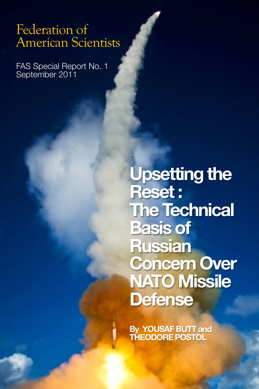# Federation of American Scientists

Terrorism Analysis Report 1 June 2011

FAS Special Report No. 1 September 2011

Federation of American Scientists

**Upsetting the Reset : The Technical Basis of Russian Concern Over NATO Missile Defense**

**By YOUSAF BUTT and THEODORE POSTOL**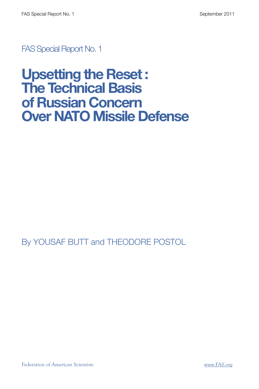FAS Special Report No. 1

# **Upsetting the Reset : The Technical Basis of Russian Concern Over NATO Missile Defense**

By YOUSAF BUTT and THEODORE POSTOL

Federation of American Scientists [www.FAS.org](http://www.FAS.org)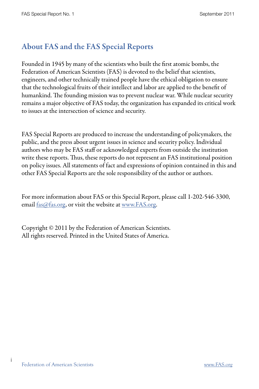# About FAS and the FAS Special Reports

Founded in 1945 by many of the scientists who built the first atomic bombs, the Federation of American Scientists (FAS) is devoted to the belief that scientists, engineers, and other technically trained people have the ethical obligation to ensure that the technological fruits of their intellect and labor are applied to the benefit of humankind. The founding mission was to prevent nuclear war. While nuclear security remains a major objective of FAS today, the organization has expanded its critical work to issues at the intersection of science and security.

FAS Special Reports are produced to increase the understanding of policymakers, the public, and the press about urgent issues in science and security policy. Individual authors who may be FAS staff or acknowledged experts from outside the institution write these reports. Thus, these reports do not represent an FAS institutional position on policy issues. All statements of fact and expressions of opinion contained in this and other FAS Special Reports are the sole responsibility of the author or authors.

For more information about FAS or this Special Report, please call 1-202-546-3300, email  $f$ as  $@$  fas.org, or visit the website at [www.FAS.org](http://www.FAS.org/).

Copyright © 2011 by the Federation of American Scientists. All rights reserved. Printed in the United States of America.

iİ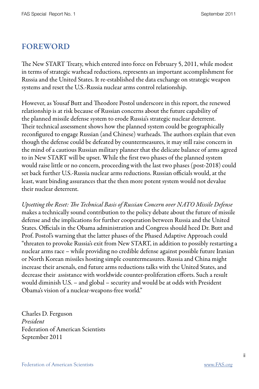### FOREWORD

The New START Treaty, which entered into force on February 5, 2011, while modest in terms of strategic warhead reductions, represents an important accomplishment for Russia and the United States. It re-established the data exchange on strategic weapon systems and reset the U.S.-Russia nuclear arms control relationship.

However, as Yousaf Butt and Theodore Postol underscore in this report, the renewed relationship is at risk because of Russian concerns about the future capability of the planned missile defense system to erode Russia's strategic nuclear deterrent. Their technical assessment shows how the planned system could be geographically reconfigured to engage Russian (and Chinese) warheads. The authors explain that even though the defense could be defeated by countermeasures, it may still raise concern in the mind of a cautious Russian military planner that the delicate balance of arms agreed to in New START will be upset. While the first two phases of the planned system would raise little or no concern, proceeding with the last two phases (post-2018) could set back further U.S.-Russia nuclear arms reductions. Russian officials would, at the least, want binding assurances that the then more potent system would not devalue their nuclear deterrent.

Upsetting the Reset: The Technical Basis of Russian Concern over NATO Missile Defense makes a technically sound contribution to the policy debate about the future of missile defense and the implications for further cooperation between Russia and the United States. Officials in the Obama administration and Congress should heed Dr. Butt and Prof. Postol's warning that the latter phases of the Phased Adaptive Approach could "threaten to provoke Russia's exit from New START, in addition to possibly restarting a nuclear arms race – while providing no credible defense against possible future Iranian or North Korean missiles hosting simple countermeasures. Russia and China might increase their arsenals, end future arms reductions talks with the United States, and decrease their assistance with worldwide counter-proliferation efforts. Such a result would diminish U.S. – and global – security and would be at odds with President Obama's vision of a nuclear-weapons-free world."

Charles D. Ferguson President Federation of American Scientists September 2011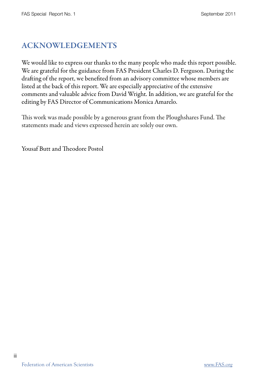## ACKNOWLEDGEMENTS

We would like to express our thanks to the many people who made this report possible. We are grateful for the guidance from FAS President Charles D. Ferguson. During the drafting of the report, we benefited from an advisory committee whose members are listed at the back of this report. We are especially appreciative of the extensive comments and valuable advice from David Wright. In addition, we are grateful for the editing by FAS Director of Communications Monica Amarelo.

This work was made possible by a generous grant from the Ploughshares Fund. The statements made and views expressed herein are solely our own.

Yousaf Butt and Theodore Postol

iii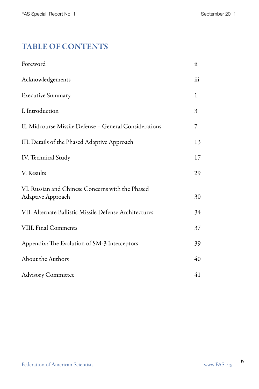# TABLE OF CONTENTS

| Foreword                                                              | ii  |
|-----------------------------------------------------------------------|-----|
| Acknowledgements                                                      | iii |
| <b>Executive Summary</b>                                              | 1   |
| I. Introduction                                                       | 3   |
| II. Midcourse Missile Defense - General Considerations                | 7   |
| III. Details of the Phased Adaptive Approach                          | 13  |
| IV. Technical Study                                                   | 17  |
| V. Results                                                            | 29  |
| VI. Russian and Chinese Concerns with the Phased<br>Adaptive Approach | 30  |
| VII. Alternate Ballistic Missile Defense Architectures                | 34  |
| VIII. Final Comments                                                  | 37  |
| Appendix: The Evolution of SM-3 Interceptors                          | 39  |
| About the Authors                                                     | 40  |
| <b>Advisory Committee</b>                                             | 41  |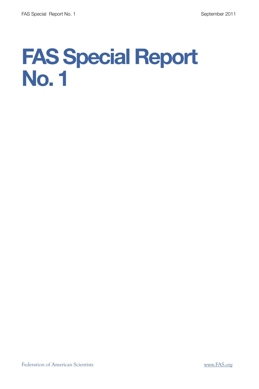# **FAS Special Report No. 1**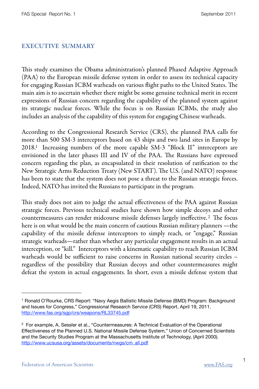#### EXECUTIVE SUMMARY

This study examines the Obama administration's planned Phased Adaptive Approach (PAA) to the European missile defense system in order to assess its technical capacity for engaging Russian ICBM warheads on various flight paths to the United States. The main aim is to ascertain whether there might be some genuine technical merit in recent expressions of Russian concern regarding the capability of the planned system against its strategic nuclear forces. While the focus is on Russian ICBMs, the study also includes an analysis of the capability of this system for engaging Chinese warheads.

According to the Congressional Research Service (CRS), the planned PAA calls for more than 500 SM-3 interceptors based on 43 ships and two land sites in Europe by 2018[.1](#page-8-0) Increasing numbers of the more capable SM-3 "Block II" interceptors are envisioned in the later phases III and IV of the PAA. The Russians have expressed concern regarding the plan, as encapsulated in their resolution of ratification to the New Strategic Arms Reduction Treaty (New START). The U.S. (and NATO) response has been to state that the system does not pose a threat to the Russian strategic forces. Indeed, NATO has invited the Russians to participate in the program.

This study does not aim to judge the actual effectiveness of the PAA against Russian strategic forces. Previous technical studies have shown how simple decoys and other countermeasures can render midcourse missile defenses largely ineffective.<sup>[2](#page-8-1)</sup> The focus here is on what would be the main concern of cautious Russian military planners —the capability of the missile defense interceptors to simply reach, or "engage," Russian strategic warheads—rather than whether any particular engagement results in an actual interception, or "kill." Interceptors with a kinematic capability to reach Russian ICBM warheads would be sufficient to raise concerns in Russian national security circles – regardless of the possibility that Russian decoys and other countermeasures might defeat the system in actual engagements. In short, even a missile defense system that

<span id="page-8-0"></span><sup>1</sup> Ronald O'Rourke, CRS Report: "Navy Aegis Ballistic Missile Defense (BMD) Program: Background and Issues for Congress," Congressional Research Service (CRS) Report, April 19, 2011. <http://www.fas.org/sgp/crs/weapons/RL33745.pdf>

<span id="page-8-1"></span> $2$  For example, A. Sessler et al., "Countermeasures: A Technical Evaluation of the Operational Effectiveness of the Planned U.S. National Missile Defense System," Union of Concerned Scientists and the Security Studies Program at the Massachusetts Institute of Technology, (April 2000). [http://www.ucsusa.org/assets/documents/nwgs/cm\\_all.pdf](http://www.ucsusa.org/assets/documents/nwgs/cm_all.pdf)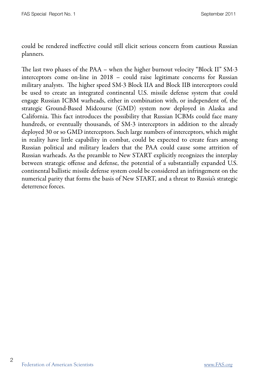could be rendered ineffective could still elicit serious concern from cautious Russian planners.

The last two phases of the PAA – when the higher burnout velocity "Block II" SM-3 interceptors come on-line in 2018 – could raise legitimate concerns for Russian military analysts. The higher speed SM-3 Block IIA and Block IIB interceptors could be used to create an integrated continental U.S. missile defense system that could engage Russian ICBM warheads, either in combination with, or independent of, the strategic Ground-Based Midcourse (GMD) system now deployed in Alaska and California. This fact introduces the possibility that Russian ICBMs could face many hundreds, or eventually thousands, of SM-3 interceptors in addition to the already deployed 30 or so GMD interceptors. Such large numbers of interceptors, which might in reality have little capability in combat, could be expected to create fears among Russian political and military leaders that the PAA could cause some attrition of Russian warheads. As the preamble to New START explicitly recognizes the interplay between strategic offense and defense, the potential of a substantially expanded U.S. continental ballistic missile defense system could be considered an infringement on the numerical parity that forms the basis of New START, and a threat to Russia's strategic deterrence forces.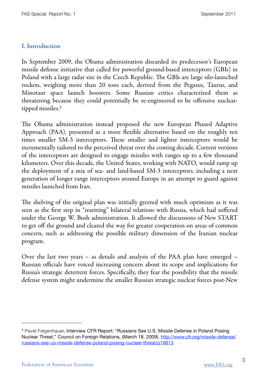#### I. Introduction

In September 2009, the Obama administration discarded its predecessor's European missile defense initiative that called for powerful ground-based interceptors (GBIs) in Poland with a large radar site in the Czech Republic. The GBIs are large silo-launched rockets, weighing more than 20 tons each, derived from the Pegasus, Taurus, and Minotaur space launch boosters. Some Russian critics characterized them as threatening because they could potentially be re-engineered to be offensive nucleartipped missiles[.3](#page-10-0)

e Obama administration instead proposed the new European Phased Adaptive Approach (PAA), presented as a more flexible alternative based on the roughly ten times smaller SM-3 interceptors. These smaller and lighter interceptors would be incrementally tailored to the perceived threat over the coming decade. Current versions of the interceptors are designed to engage missiles with ranges up to a few thousand kilometers. Over this decade, the United States, working with NATO, would ramp up the deployment of a mix of sea- and land-based SM-3 interceptors, including a next generation of longer range interceptors around Europe in an attempt to guard against missiles launched from Iran.

The shelving of the original plan was initially greeted with much optimism as it was seen as the first step in "resetting" bilateral relations with Russia, which had suffered under the George W. Bush administration. It allowed the discussions of New START to get off the ground and cleared the way for greater cooperation on areas of common concern, such as addressing the possible military dimension of the Iranian nuclear program.

Over the last two years – as details and analysis of the PAA plan have emerged – Russian officials have voiced increasing concern about its scope and implications for Russia's strategic deterrent forces. Specifically, they fear the possibility that the missile defense system might undermine the smaller Russian strategic nuclear forces post-New

<span id="page-10-0"></span><sup>&</sup>lt;sup>3</sup> Pavel Felgenhauer, Interview CFR Report: "Russians See U.S. Missile Defense in Poland Posing Nuclear Threat," Council on Foreign Relations, (March 18, 2009). [http://www.cfr.org/missile-defense/](http://www.cfr.org/missile-defense/russians-see-us-missile-defense-poland-posing-nuclear-threat/p18813) [russians-see-us-missile-defense-poland-posing-nuclear-threat/p18813](http://www.cfr.org/missile-defense/russians-see-us-missile-defense-poland-posing-nuclear-threat/p18813)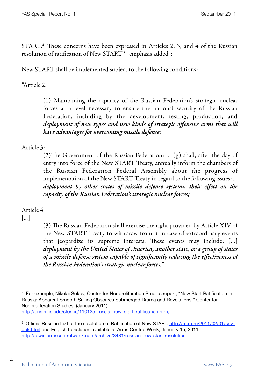$STAT.4$  $STAT.4$  These concerns have been expressed in Articles 2, 3, and 4 of the Russian resolution of ratification of New START [5](#page-11-1) [emphasis added]:

New START shall be implemented subject to the following conditions:

"Article 2:

(1) Maintaining the capacity of the Russian Federation's strategic nuclear forces at a level necessary to ensure the national security of the Russian Federation, including by the development, testing, production, and deployment of new types and new kinds of strategic offensive arms that will have advantages for overcoming missile defense;

Article 3:

(2)The Government of the Russian Federation: ... (g) shall, after the day of entry into force of the New START Treaty, annually inform the chambers of the Russian Federation Federal Assembly about the progress of implementation of the New START Treaty in regard to the following issues: ... deployment by other states of missile defense systems, their effect on the capacity of the Russian Federation's strategic nuclear forces;

Article 4

[...]

4

(3) The Russian Federation shall exercise the right provided by Article XIV of the New START Treaty to withdraw from it in case of extraordinary events that jeopardize its supreme interests. These events may include: [...] deployment by the United States of America, another state, or a group of states of a missile defense system capable of significantly reducing the effectiveness of the Russian Federation's strategic nuclear forces."

<span id="page-11-0"></span><sup>4</sup> For example, Nikolai Sokov, Center for Nonproliferation Studies report, "New Start Ratification in Russia: Apparent Smooth Sailing Obscures Submerged Drama and Revelations," Center for Nonproliferation Studies, (January 2011). [http://cns.miis.edu/stories/110125\\_russia\\_new\\_start\\_ratification.htm](http://cns.miis.edu/stories/110125_russia_new_start_ratification.htm),

<span id="page-11-1"></span><sup>&</sup>lt;sup>5</sup> Official Russian text of the resolution of Ratification of New START: [http://m.rg.ru/2011/02/01/snv](http://m.rg.ru/2011/02/01/snv-dok.html)[dok.html](http://m.rg.ru/2011/02/01/snv-dok.html) and English translation available at Arms Control Wonk, January 15, 2011. <http://lewis.armscontrolwonk.com/archive/3481/russian-new-start-resolution>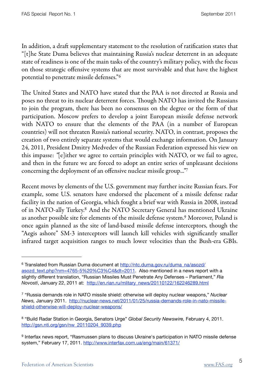In addition, a draft supplementary statement to the resolution of ratification states that "[t]he State Duma believes that maintaining Russia's nuclear deterrent in an adequate state of readiness is one of the main tasks of the country's military policy, with the focus on those strategic offensive systems that are most survivable and that have the highest potential to penetrate missile defenses."[6](#page-12-0)

The United States and NATO have stated that the PAA is not directed at Russia and poses no threat to its nuclear deterrent forces. Though NATO has invited the Russians to join the program, there has been no consensus on the degree or the form of that participation. Moscow prefers to develop a joint European missile defense network with NATO to ensure that the elements of the PAA (in a number of European countries) will not threaten Russia's national security. NATO, in contrast, proposes the creation of two entirely separate systems that would exchange information. On January 24, 2011, President Dmitry Medvedev of the Russian Federation expressed his view on this impasse: "[e]ither we agree to certain principles with NATO, or we fail to agree, and then in the future we are forced to adopt an entire series of unpleasant decisions concerning the deployment of an offensive nuclear missile group...["7](#page-12-1)

Recent moves by elements of the U.S. government may further incite Russian fears. For example, some U.S. senators have endorsed the placement of a missile defense radar facility in the nation of Georgia, which fought a brief war with Russia in 2008, instead of in NATO-ally Turkey[.8](#page-12-2) And the NATO Secretary General has mentioned Ukraine as another possible site for elements of the missile defense system[.9](#page-12-3) Moreover, Poland is once again planned as the site of land-based missile defense interceptors, though the "Aegis ashore" SM-3 interceptors will launch kill vehicles with significantly smaller infrared target acquisition ranges to much lower velocities than the Bush-era GBIs.

<span id="page-12-0"></span><sup>&</sup>lt;sup>6</sup> Translated from Russian Duma document at [http://ntc.duma.gov.ru/duma\\_na/asozd/](http://ntc.duma.gov.ru/duma_na/asozd/asozd_text.php?nm=4765-5%20%C3%C4&dt=2011) [asozd\\_text.php?nm=4765-5%20%C3%C4&dt=2011](http://ntc.duma.gov.ru/duma_na/asozd/asozd_text.php?nm=4765-5%20%C3%C4&dt=2011). Also mentioned in a news report with a slightly different translation, "Russian Missiles Must Penetrate Any Defenses – Parliament," *Ria Novosti*, January 22, 2011 at: [http://en.rian.ru/mlitary\\_news/20110122/162246289.html](http://en.rian.ru/mlitary_news/20110122/162246289.html)

<span id="page-12-1"></span><sup>7 &</sup>quot;Russia demands role in NATO missile shield: otherwise will deploy nuclear weapons," *Nuclear News,* January 2011. [http://nuclear-news.net/2011/01/25/russia-demands-role-in-nato-missile](http://nuclear-news.net/2011/01/25/russia-demands-role-in-nato-missile-shield-otherwise-will-deploy-nuclear-weapons/)[shield-otherwise-will-deploy-nuclear-weapons/](http://nuclear-news.net/2011/01/25/russia-demands-role-in-nato-missile-shield-otherwise-will-deploy-nuclear-weapons/)

<span id="page-12-2"></span><sup>8 &</sup>quot;Build Radar Station in Georgia, Senators Urge" *Global Security Newswire,* February 4, 2011. [http://gsn.nti.org/gsn/nw\\_20110204\\_9039.php](http://gsn.nti.org/gsn/nw_20110204_9039.php)

<span id="page-12-3"></span><sup>9</sup> Interfax news report, "Rasmussen plans to discuss Ukraine's participation in NATO missile defense system," February 17, 2011.<http://www.interfax.com.ua/eng/main/61371/>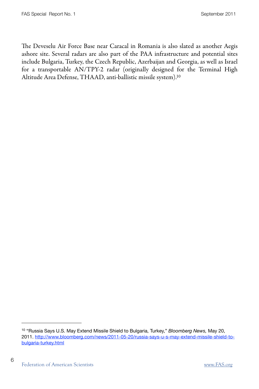The Deveselu Air Force Base near Caracal in Romania is also slated as another Aegis ashore site. Several radars are also part of the PAA infrastructure and potential sites include Bulgaria, Turkey, the Czech Republic, Azerbaijan and Georgia, as well as Israel for a transportable AN/TPY-2 radar (originally designed for the Terminal High Altitude Area Defense, THAAD, anti-ballistic missile system)[.10](#page-13-0)

<span id="page-13-0"></span><sup>10 &</sup>quot;Russia Says U.S. May Extend Missile Shield to Bulgaria, Turkey," *Bloomberg News,* May 20, 2011. [http://www.bloomberg.com/news/2011-05-20/russia-says-u-s-may-extend-missile-shield-to](http://www.bloomberg.com/news/2011-05-20/russia-says-u-s-may-extend-missile-shield-to-bulgaria-turkey.html)[bulgaria-turkey.html](http://www.bloomberg.com/news/2011-05-20/russia-says-u-s-may-extend-missile-shield-to-bulgaria-turkey.html)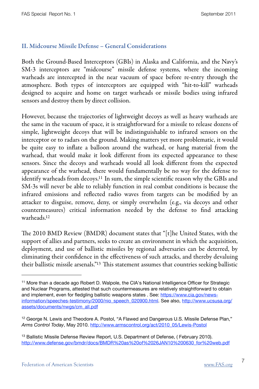#### II. Midcourse Missile Defense – General Considerations

Both the Ground-Based Interceptors (GBIs) in Alaska and California, and the Navy's SM-3 interceptors are "midcourse" missile defense systems, where the incoming warheads are intercepted in the near vacuum of space before re-entry through the atmosphere. Both types of interceptors are equipped with "hit-to-kill" warheads designed to acquire and home on target warheads or missile bodies using infrared sensors and destroy them by direct collision.

However, because the trajectories of lightweight decoys as well as heavy warheads are the same in the vacuum of space, it is straightforward for a missile to release dozens of simple, lightweight decoys that will be indistinguishable to infrared sensors on the interceptor or to radars on the ground. Making matters yet more problematic, it would be quite easy to inflate a balloon around the warhead, or hang material from the warhead, that would make it look different from its expected appearance to these sensors. Since the decoys and warheads would all look different from the expected appearance of the warhead, there would fundamentally be no way for the defense to identify warheads from decoys.<sup>11</sup> In sum, the simple scientific reason why the GBIs and SM-3s will never be able to reliably function in real combat conditions is because the infrared emissions and reflected radio waves from targets can be modified by an attacker to disguise, remove, deny, or simply overwhelm (e.g., via decoys and other countermeasures) critical information needed by the defense to find attacking warheads[.12](#page-14-1)

The 2010 BMD Review (BMDR) document states that "[t]he United States, with the support of allies and partners, seeks to create an environment in which the acquisition, deployment, and use of ballistic missiles by regional adversaries can be deterred, by eliminating their confidence in the effectiveness of such attacks, and thereby devaluing their ballistic missile arsenals."<sup>13</sup> This statement assumes that countries seeking ballistic

<span id="page-14-0"></span><sup>11</sup> More than a decade ago Robert D. Walpole, the CIA's National Intelligence Officer for Strategic and Nuclear Programs, attested that such countermeasures are relatively straightforward to obtain and implement, even for fledgling ballistic weapons states . See: [https://www.cia.gov/news](https://www.cia.gov/news-information/speeches-testimony/2000/nio_speech_020900.html)[information/speeches-testimony/2000/nio\\_speech\\_020900.html.](https://www.cia.gov/news-information/speeches-testimony/2000/nio_speech_020900.html) See also, [http://www.ucsusa.org/](http://www.ucsusa.org/assets/documents/nwgs/cm_all.pdf) [assets/documents/nwgs/cm\\_all.pdf](http://www.ucsusa.org/assets/documents/nwgs/cm_all.pdf)

<span id="page-14-1"></span> $12$  George N. Lewis and Theodore A. Postol, "A Flawed and Dangerous U.S. Missile Defense Plan," *Arms Control Today*, May 2010. [http://www.armscontrol.org/act/2010\\_05/Lewis-Postol](http://www.armscontrol.org/act/2010_05/Lewis-Postol)

<span id="page-14-2"></span><sup>&</sup>lt;sup>13</sup> Ballistic Missile Defense Review Report, U.S. Department of Defense, (February 2010). [http://www.defense.gov/bmdr/docs/BMDR%20as%20of%2026JAN10%200630\\_for%20web.pdf](http://www.defense.gov/bmdr/docs/BMDR%20as%20of%2026JAN10%200630_for%20web.pdf)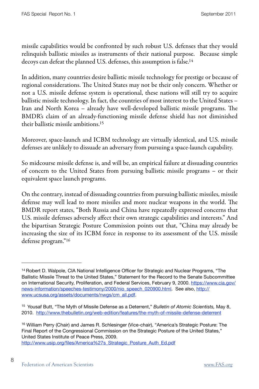missile capabilities would be confronted by such robust U.S. defenses that they would relinquish ballistic missiles as instruments of their national purpose. Because simple decoys can defeat the planned U.S. defenses, this assumption is false[.14](#page-15-0)

In addition, many countries desire ballistic missile technology for prestige or because of regional considerations. The United States may not be their only concern. Whether or not a U.S. missile defense system is operational, these nations will still try to acquire ballistic missile technology. In fact, the countries of most interest to the United States – Iran and North Korea – already have well-developed ballistic missile programs. The BMDR's claim of an already-functioning missile defense shield has not diminished their ballistic missile ambitions[.15](#page-15-1)

Moreover, space-launch and ICBM technology are virtually identical, and U.S. missile defenses are unlikely to dissuade an adversary from pursuing a space-launch capability.

So midcourse missile defense is, and will be, an empirical failure at dissuading countries of concern to the United States from pursuing ballistic missile programs – or their equivalent space launch programs.

On the contrary, instead of dissuading countries from pursuing ballistic missiles, missile defense may well lead to more missiles and more nuclear weapons in the world. The BMDR report states, "Both Russia and China have repeatedly expressed concerns that U.S. missile defenses adversely affect their own strategic capabilities and interests." And the bipartisan Strategic Posture Commission points out that, "China may already be increasing the size of its ICBM force in response to its assessment of the U.S. missile defense program.["16](#page-15-2)

8

<span id="page-15-0"></span><sup>&</sup>lt;sup>14</sup> Robert D. Walpole, CIA National Intelligence Officer for Strategic and Nuclear Programs, "The Ballistic Missile Threat to the United States," Statement for the Record to the Senate Subcommittee on International Security, Proliferation, and Federal Services, February 9, 2000. [https://www.cia.gov/](https://www.cia.gov/news-information/speeches-testimony/2000/nio_speech_020900.html) [news-information/speeches-testimony/2000/nio\\_speech\\_020900.html.](https://www.cia.gov/news-information/speeches-testimony/2000/nio_speech_020900.html) See also, [http://](http://www.ucsusa.org/assets/documents/nwgs/cm_all.pdf) [www.ucsusa.org/assets/documents/nwgs/cm\\_all.pdf](http://www.ucsusa.org/assets/documents/nwgs/cm_all.pdf).

<span id="page-15-1"></span><sup>15</sup> Yousaf Butt, "The Myth of Missile Defense as a Deterrent," *Bulletin of Atomic Scientists,* May 8, 2010. <http://www.thebulletin.org/web-edition/features/the-myth-of-missile-defense-deterrent>

<span id="page-15-2"></span><sup>16</sup> William Perry (Chair) and James R. Schlesinger (Vice-chair), "America's Strategic Posture: The Final Report of the Congressional Commission on the Strategic Posture of the United States," United States Institute of Peace Press, 2009. [http://www.usip.org/files/America%27s\\_Strategic\\_Posture\\_Auth\\_Ed.pdf](http://www.usip.org/files/America)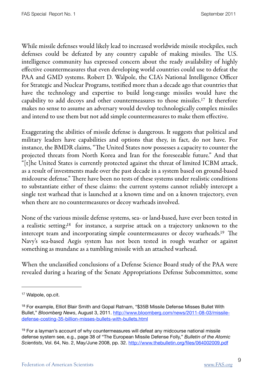While missile defenses would likely lead to increased worldwide missile stockpiles, such defenses could be defeated by any country capable of making missiles. The U.S. intelligence community has expressed concern about the ready availability of highly effective countermeasures that even developing world countries could use to defeat the PAA and GMD systems. Robert D. Walpole, the CIA's National Intelligence Officer for Strategic and Nuclear Programs, testified more than a decade ago that countries that have the technology and expertise to build long-range missiles would have the capability to add decoys and other countermeasures to those missiles[.17](#page-16-0) It therefore makes no sense to assume an adversary would develop technologically complex missiles and intend to use them but not add simple countermeasures to make them effective.

Exaggerating the abilities of missile defense is dangerous. It suggests that political and military leaders have capabilities and options that they, in fact, do not have. For instance, the BMDR claims, "The United States now possesses a capacity to counter the projected threats from North Korea and Iran for the foreseeable future." And that "[t]he United States is currently protected against the threat of limited ICBM attack, as a result of investments made over the past decade in a system based on ground-based midcourse defense." There have been no tests of these systems under realistic conditions to substantiate either of these claims: the current systems cannot reliably intercept a single test warhead that is launched at a known time and on a known trajectory, even when there are no countermeasures or decoy warheads involved.

None of the various missile defense systems, sea- or land-based, have ever been tested in a realistic setting[:18](#page-16-1) for instance, a surprise attack on a trajectory unknown to the intercept team and incorporating simple countermeasures or decoy warheads.<sup>19</sup> The Navy's sea-based Aegis system has not been tested in rough weather or against something as mundane as a tumbling missile with an attached warhead.

When the unclassified conclusions of a Defense Science Board study of the PAA were revealed during a hearing of the Senate Appropriations Defense Subcommittee, some

9

<span id="page-16-0"></span><sup>17</sup> Walpole, op.cit.

<span id="page-16-1"></span><sup>&</sup>lt;sup>18</sup> For example, Elliot Blair Smith and Gopal Ratnam, "\$35B Missile Defense Misses Bullet With Bullet," *Bloomberg News*, August 3, 2011. [http://www.bloomberg.com/news/2011-08-03/missile](http://www.bloomberg.com/news/2011-08-03/missile-defense-costing-35-billion-misses-bullets-with-bullets.html)[defense-costing-35-billion-misses-bullets-with-bullets.html](http://www.bloomberg.com/news/2011-08-03/missile-defense-costing-35-billion-misses-bullets-with-bullets.html)

<span id="page-16-2"></span><sup>&</sup>lt;sup>19</sup> For a layman's account of why countermeasures will defeat any midcourse national missile defense system see, e.g., page 38 of "The European Missile Defense Folly," *Bulletin of the Atomic Scientists*, Vol. 64, No. 2, May/June 2008, pp. 32.<http://www.thebulletin.org/files/064002009.pdf>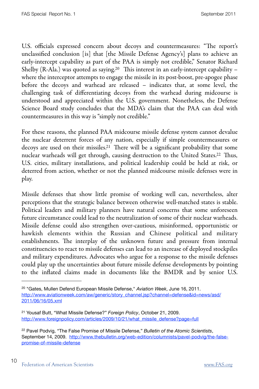U.S. officials expressed concern about decoys and countermeasures: "The report's unclassified conclusion [is] that [the Missile Defense Agency's] plans to achieve an early-intercept capability as part of the PAA is simply not credible," Senator Richard Shelby (R-Ala.) was quoted as saying.<sup>20</sup> This interest in an early-intercept capability – where the interceptor attempts to engage the missile in its post-boost, pre-apogee phase before the decoys and warhead are released – indicates that, at some level, the challenging task of differentiating decoys from the warhead during midcourse is understood and appreciated within the U.S. government. Nonetheless, the Defense Science Board study concludes that the MDA's claim that the PAA can deal with countermeasures in this way is "simply not credible."

For these reasons, the planned PAA midcourse missile defense system cannot devalue the nuclear deterrent forces of any nation, especially if simple countermeasures or decoys are used on their missiles.<sup>21</sup> There will be a significant probability that some nuclear warheads will get through, causing destruction to the United States.<sup>22</sup> Thus, U.S. cities, military installations, and political leadership could be held at risk, or deterred from action, whether or not the planned midcourse missile defenses were in play.

Missile defenses that show little promise of working well can, nevertheless, alter perceptions that the strategic balance between otherwise well-matched states is stable. Political leaders and military planners have natural concerns that some unforeseen future circumstance could lead to the neutralization of some of their nuclear warheads. Missile defense could also strengthen over-cautious, misinformed, opportunistic or hawkish elements within the Russian and Chinese political and military establishments. The interplay of the unknown future and pressure from internal constituencies to react to missile defenses can lead to an increase of deployed stockpiles and military expenditures. Advocates who argue for a response to the missile defenses could play up the uncertainties about future missile defense developments by pointing to the inflated claims made in documents like the BMDR and by senior U.S.

<span id="page-17-0"></span><sup>20</sup> "Gates, Mullen Defend European Missile Defense," *Aviation Week*, June 16, 2011. [http://www.aviationweek.com/aw/generic/story\\_channel.jsp?channel=defense&id=news/asd/](http://www.aviationweek.com/aw/generic/story_channel.jsp?channel=defense&id=news/asd/2011/06/16/05.xml) [2011/06/16/05.xml](http://www.aviationweek.com/aw/generic/story_channel.jsp?channel=defense&id=news/asd/2011/06/16/05.xml)

<span id="page-17-1"></span><sup>21</sup> Yousaf Butt, "What Missile Defense?" *Foreign Policy*, October 21, 2009. [http://www.foreignpolicy.com/articles/2009/10/21/what\\_missile\\_defense?page=full](http://www.foreignpolicy.com/articles/2009/10/21/what_missile_defense?page=full)

<span id="page-17-2"></span><sup>22</sup> Pavel Podvig, "The False Promise of Missile Defense," *Bulletin of the Atomic Scientists*, September 14, 2009. [http://www.thebulletin.org/web-edition/columnists/pavel-podvig/the-false](http://www.thebulletin.org/web-edition/columnists/pavel-podvig/the-false-promise-of-missile-defense)[promise-of-missile-defense](http://www.thebulletin.org/web-edition/columnists/pavel-podvig/the-false-promise-of-missile-defense)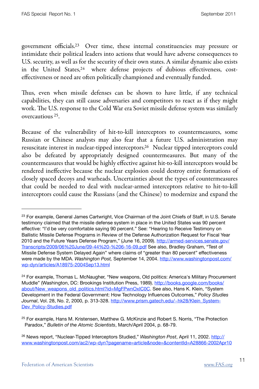government officials[.23](#page-18-0) Over time, these internal constituencies may pressure or intimidate their political leaders into actions that would have adverse consequences to U.S. security, as well as for the security of their own states. A similar dynamic also exists in the United States,<sup>24</sup> where defense projects of dubious effectiveness, costeffectiveness or need are often politically championed and eventually funded.

Thus, even when missile defenses can be shown to have little, if any technical capabilities, they can still cause adversaries and competitors to react as if they might work. The U.S. response to the Cold War era Soviet missile defense system was similarly overcautious [25](#page-18-2).

Because of the vulnerability of hit-to-kill interceptors to countermeasures, some Russian or Chinese analysts may also fear that a future U.S. administration may resuscitate interest in nuclear-tipped interceptors[.26](#page-18-3) Nuclear tipped interceptors could also be defeated by appropriately designed countermeasures. But many of the countermeasures that would be highly effective against hit-to-kill interceptors would be rendered ineffective because the nuclear explosion could destroy entire formations of closely spaced decoys and warheads. Uncertainties about the types of countermeasures that could be needed to deal with nuclear-armed interceptors relative to hit-to-kill interceptors could cause the Russians (and the Chinese) to modernize and expand the

<span id="page-18-0"></span><sup>&</sup>lt;sup>23</sup> For example, General James Cartwright, Vice Chairman of the Joint Chiefs of Staff, in U.S. Senate testimony claimed that the missile defense system in place in the United States was 90 percent effective: "I'd be very comfortable saying 90 percent." See: "Hearing to Receive Testimony on Ballistic Missile Defense Programs in Review of the Defense Authorization Request for Fiscal Year 2010 and the Future Years Defense Program," (June 16, 2009). [http://armed-services.senate.gov/](http://armed-services.senate.gov/Transcripts/2009/06%20June/09-44%20-%206-16-09.pdf) [Transcripts/2009/06%20June/09-44%20-%206-16-09.pdf](http://armed-services.senate.gov/Transcripts/2009/06%20June/09-44%20-%206-16-09.pdf) See also, Bradley Graham, "Test of Missile Defense System Delayed Again" where claims of "greater than 80 percent" effectiveness were made by the MDA. *Washington Post,* September 14, 2004. [http://www.washingtonpost.com/](http://www.washingtonpost.com/wp-dyn/articles/A18975-2004Sep13.html) [wp-dyn/articles/A18975-2004Sep13.html](http://www.washingtonpost.com/wp-dyn/articles/A18975-2004Sep13.html)

<span id="page-18-1"></span><sup>&</sup>lt;sup>24</sup> For example, Thomas L. McNaugher, "New weapons, Old politics: America's Military Procurement Muddle" (Washington, DC: Brookings Institution Press, 1989). [http://books.google.com/books/](http://books.google.com/books/about/New_weapons_old_politics.html?id=MgFPwnOxIC0C) [about/New\\_weapons\\_old\\_politics.html?id=MgFPwnOxIC0C](http://books.google.com/books/about/New_weapons_old_politics.html?id=MgFPwnOxIC0C). See also, Hans K. Klein, "System Development in the Federal Government: How Technology Influences Outcomes," *Policy Studies Journal*, Vol. 28, No. 2, 2000, p. 313-328. [http://www.prism.gatech.edu/~hk28/Klein\\_System-](http://www.prism.gatech.edu/~hk28/Klein_System-Dev_Policy-Studies.pdf)[Dev\\_Policy-Studies.pdf](http://www.prism.gatech.edu/~hk28/Klein_System-Dev_Policy-Studies.pdf)

<span id="page-18-2"></span><sup>25</sup> For example, Hans M. Kristensen, Matthew G. McKinzie and Robert S. Norris, "The Protection Paradox," *Bulletin of the Atomic Scientists*, March/April 2004, p. 68-79.

<span id="page-18-3"></span><sup>26</sup> News report, "Nuclear-Tipped Interceptors Studied," *Washington Post*, April 11, 2002. [http://](http://www.washingtonpost.com/ac2/wp-dyn?pagename=article&node=&contentId=A28866-2002Apr10) [www.washingtonpost.com/ac2/wp-dyn?pagename=article&node=&contentId=A28866-2002Apr10](http://www.washingtonpost.com/ac2/wp-dyn?pagename=article&node=&contentId=A28866-2002Apr10)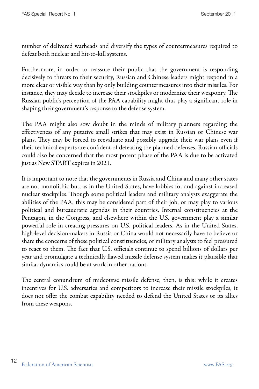number of delivered warheads and diversify the types of countermeasures required to defeat both nuclear and hit-to-kill systems.

Furthermore, in order to reassure their public that the government is responding decisively to threats to their security, Russian and Chinese leaders might respond in a more clear or visible way than by only building countermeasures into their missiles. For instance, they may decide to increase their stockpiles or modernize their weaponry. The Russian public's perception of the PAA capability might thus play a significant role in shaping their government's response to the defense system.

The PAA might also sow doubt in the minds of military planners regarding the effectiveness of any putative small strikes that may exist in Russian or Chinese war plans. They may be forced to reevaluate and possibly upgrade their war plans even if their technical experts are confident of defeating the planned defenses. Russian officials could also be concerned that the most potent phase of the PAA is due to be activated just as New START expires in 2021.

It is important to note that the governments in Russia and China and many other states are not monolithic but, as in the United States, have lobbies for and against increased nuclear stockpiles. Though some political leaders and military analysts exaggerate the abilities of the PAA, this may be considered part of their job, or may play to various political and bureaucratic agendas in their countries. Internal constituencies at the Pentagon, in the Congress, and elsewhere within the U.S. government play a similar powerful role in creating pressures on U.S. political leaders. As in the United States, high-level decision-makers in Russia or China would not necessarily have to believe or share the concerns of these political constituencies, or military analysts to feel pressured to react to them. The fact that U.S. officials continue to spend billions of dollars per year and promulgate a technically flawed missile defense system makes it plausible that similar dynamics could be at work in other nations.

The central conundrum of midcourse missile defense, then, is this: while it creates incentives for U.S. adversaries and competitors to increase their missile stockpiles, it does not offer the combat capability needed to defend the United States or its allies from these weapons.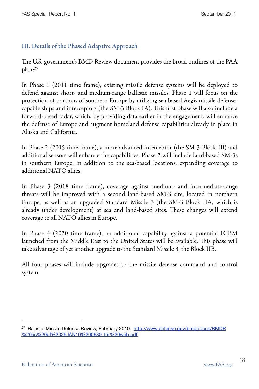#### III. Details of the Phased Adaptive Approach

e U.S. government's BMD Review document provides the broad outlines of the PAA plan[:27](#page-20-0)

In Phase 1 (2011 time frame), existing missile defense systems will be deployed to defend against short- and medium-range ballistic missiles. Phase 1 will focus on the protection of portions of southern Europe by utilizing sea-based Aegis missile defensecapable ships and interceptors (the SM-3 Block IA). This first phase will also include a forward-based radar, which, by providing data earlier in the engagement, will enhance the defense of Europe and augment homeland defense capabilities already in place in Alaska and California.

In Phase 2 (2015 time frame), a more advanced interceptor (the SM-3 Block IB) and additional sensors will enhance the capabilities. Phase 2 will include land-based SM-3s in southern Europe, in addition to the sea-based locations, expanding coverage to additional NATO allies.

In Phase 3 (2018 time frame), coverage against medium- and intermediate-range threats will be improved with a second land-based SM-3 site, located in northern Europe, as well as an upgraded Standard Missile 3 (the SM-3 Block IIA, which is already under development) at sea and land-based sites. These changes will extend coverage to all NATO allies in Europe.

In Phase 4 (2020 time frame), an additional capability against a potential ICBM launched from the Middle East to the United States will be available. This phase will take advantage of yet another upgrade to the Standard Missile 3, the Block IIB.

All four phases will include upgrades to the missile defense command and control system.

<span id="page-20-0"></span><sup>&</sup>lt;sup>27</sup> Ballistic Missile Defense Review, February 2010. [http://www.defense.gov/bmdr/docs/BMDR](http://www.defense.gov/bmdr/docs/BMDR%20as%20of%2026JAN10%200630_for%20web.pdf) [%20as%20of%2026JAN10%200630\\_for%20web.pdf](http://www.defense.gov/bmdr/docs/BMDR%20as%20of%2026JAN10%200630_for%20web.pdf)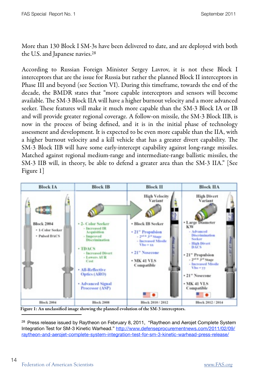More than 130 Block I SM-3s have been delivered to date, and are deployed with both the U.S. and Japanese navies[.28](#page-21-0)

According to Russian Foreign Minister Sergey Lavrov, it is not these Block I interceptors that are the issue for Russia but rather the planned Block II interceptors in Phase III and beyond (see Section VI). During this timeframe, towards the end of the decade, the BMDR states that "more capable interceptors and sensors will become available. The SM-3 Block IIA will have a higher burnout velocity and a more advanced seeker. These features will make it much more capable than the SM-3 Block IA or IB and will provide greater regional coverage. A follow-on missile, the SM-3 Block IIB, is now in the process of being defined, and it is in the initial phase of technology assessment and development. It is expected to be even more capable than the IIA, with a higher burnout velocity and a kill vehicle that has a greater divert capability. The SM-3 Block IIB will have some early-intercept capability against long-range missiles. Matched against regional medium-range and intermediate-range ballistic missiles, the SM-3 IIB will, in theory, be able to defend a greater area than the SM-3 IIA." [See Figure 1]



Figure 1: An unclassified image showing the planned evolution of the SM-3 interceptors.

<span id="page-21-0"></span><sup>28</sup> Press release issued by Raytheon on February 8, 2011, "Raytheon and Aerojet Complete System Integration Test for SM-3 Kinetic Warhead." [http://www.defenseprocurementnews.com/2011/02/09/](http://www.defenseprocurementnews.com/2011/02/09/raytheon-and-aerojet-complete-system-integration-test-for-sm-3-kinetic-warhead-press-release/) [raytheon-and-aerojet-complete-system-integration-test-for-sm-3-kinetic-warhead-press-release/](http://www.defenseprocurementnews.com/2011/02/09/raytheon-and-aerojet-complete-system-integration-test-for-sm-3-kinetic-warhead-press-release/)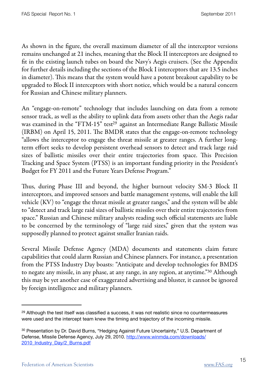As shown in the figure, the overall maximum diameter of all the interceptor versions remains unchanged at 21 inches, meaning that the Block II interceptors are designed to fit in the existing launch tubes on board the Navy's Aegis cruisers. (See the Appendix for further details including the sections of the Block I interceptors that are 13.5 inches in diameter). This means that the system would have a potent breakout capability to be upgraded to Block II interceptors with short notice, which would be a natural concern for Russian and Chinese military planners.

An "engage-on-remote" technology that includes launching on data from a remote sensor track, as well as the ability to uplink data from assets other than the Aegis radar was examined in the "FTM-15" test<sup>29</sup> against an Intermediate Range Ballistic Missile  $(IRBM)$  on April 15, 2011. The BMDR states that the engage-on-remote technology "allows the interceptor to engage the threat missile at greater ranges. A further longterm effort seeks to develop persistent overhead sensors to detect and track large raid sizes of ballistic missiles over their entire trajectories from space. This Precision Tracking and Space System (PTSS) is an important funding priority in the President's Budget for FY 2011 and the Future Years Defense Program."

Thus, during Phase III and beyond, the higher burnout velocity SM-3 Block II interceptors, and improved sensors and battle management systems, will enable the kill vehicle (KV) to "engage the threat missile at greater ranges," and the system will be able to "detect and track large raid sizes of ballistic missiles over their entire trajectories from space." Russian and Chinese military analysts reading such official statements are liable to be concerned by the terminology of "large raid sizes," given that the system was supposedly planned to protect against smaller Iranian raids.

Several Missile Defense Agency (MDA) documents and statements claim future capabilities that could alarm Russian and Chinese planners. For instance, a presentation from the PTSS Industry Day boasts: "Anticipate and develop technologies for BMDS to negate any missile, in any phase, at any range, in any region, at anytime.["30](#page-22-1) Although this may be yet another case of exaggerated advertising and bluster, it cannot be ignored by foreign intelligence and military planners.

<span id="page-22-0"></span><sup>&</sup>lt;sup>29</sup> Although the test itself was classified a success, it was not realistic since no countermeasures were used and the intercept team knew the timing and trajectory of the incoming missile.

<span id="page-22-1"></span><sup>&</sup>lt;sup>30</sup> Presentation by Dr. David Burns, "Hedging Against Future Uncertainty," U.S. Department of Defense, Missile Defense Agency, July 29, 2010. [http://www.winmda.com/downloads/](http://www.winmda.com/downloads/2010_Industry_Day/2_Burns.pdf) [2010\\_Industry\\_Day/2\\_Burns.pdf](http://www.winmda.com/downloads/2010_Industry_Day/2_Burns.pdf)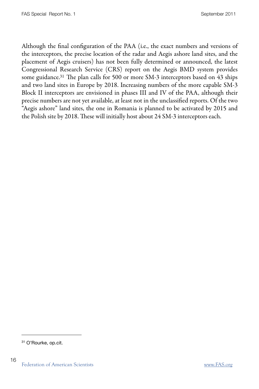Although the final configuration of the PAA (i.e., the exact numbers and versions of the interceptors, the precise location of the radar and Aegis ashore land sites, and the placement of Aegis cruisers) has not been fully determined or announced, the latest Congressional Research Service (CRS) report on the Aegis BMD system provides some guidance.<sup>31</sup> The plan calls for 500 or more SM-3 interceptors based on  $43$  ships and two land sites in Europe by 2018. Increasing numbers of the more capable SM-3 Block II interceptors are envisioned in phases III and IV of the PAA, although their precise numbers are not yet available, at least not in the unclassified reports. Of the two "Aegis ashore" land sites, the one in Romania is planned to be activated by 2015 and the Polish site by 2018. These will initially host about 24 SM-3 interceptors each.

<span id="page-23-0"></span><sup>31</sup> O'Rourke, op.cit.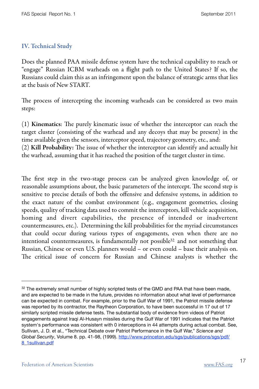#### IV. Technical Study

Does the planned PAA missile defense system have the technical capability to reach or "engage" Russian ICBM warheads on a flight path to the United States? If so, the Russians could claim this as an infringement upon the balance of strategic arms that lies at the basis of New START.

The process of intercepting the incoming warheads can be considered as two main steps:

 $(1)$  Kinematics: The purely kinematic issue of whether the interceptor can reach the target cluster (consisting of the warhead and any decoys that may be present) in the time available given the sensors, interceptor speed, trajectory geometry, etc., and:  $(2)$  Kill Probability: The issue of whether the interceptor can identify and actually hit the warhead, assuming that it has reached the position of the target cluster in time.

The first step in the two-stage process can be analyzed given knowledge of, or reasonable assumptions about, the basic parameters of the intercept. The second step is sensitive to precise details of both the offensive and defensive systems, in addition to the exact nature of the combat environment (e.g., engagement geometries, closing speeds, quality of tracking data used to commit the interceptors, kill vehicle acquisition, homing and divert capabilities, the presence of intended or inadvertent countermeasures, etc.). Determining the kill probabilities for the myriad circumstances that could occur during various types of engagements, even when there are no intentional countermeasures, is fundamentally not possible<sup>32</sup> and not something that Russian, Chinese or even U.S. planners would – or even could – base their analysis on. The critical issue of concern for Russian and Chinese analysts is whether the

<span id="page-24-0"></span> $32$  The extremely small number of highly scripted tests of the GMD and PAA that have been made, and are expected to be made in the future, provides no information about what level of performance can be expected in combat. For example, prior to the Gulf War of 1991, the Patriot missile defense was reported by its contractor, the Raytheon Corporation, to have been successful in 17 out of 17 similarly scripted missile defense tests. The substantial body of evidence from videos of Patriot engagements against Iraqi Al-Husayn missiles during the Gulf War of 1991 indicates that the Patriot system's performance was consistent with 0 interceptions in 44 attempts during actual combat. See, Sullivan, J. D. et al., "Technical Debate over Patriot Performance in the Gulf War," *Science and Global Security*, Volume 8. pp. 41-98, (1999). [http://www.princeton.edu/sgs/publications/sgs/pdf/](http://www.princeton.edu/sgs/publications/sgs/pdf/8_1sullivan.pdf) [8\\_1sullivan.pdf](http://www.princeton.edu/sgs/publications/sgs/pdf/8_1sullivan.pdf)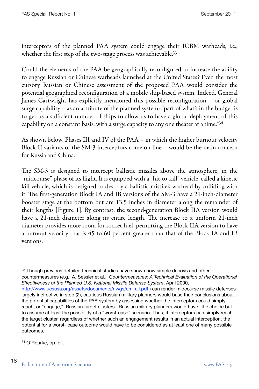interceptors of the planned PAA system could engage their ICBM warheads, i.e., whether the first step of the two-stage process was achievable.<sup>33</sup>

Could the elements of the PAA be geographically reconfigured to increase the ability to engage Russian or Chinese warheads launched at the United States? Even the most cursory Russian or Chinese assessment of the proposed PAA would consider the potential geographical reconfiguration of a mobile ship-based system. Indeed, General James Cartwright has explicitly mentioned this possible reconfiguration – or global surge capability – as an attribute of the planned system: "part of what's in the budget is to get us a sufficient number of ships to allow us to have a global deployment of this capability on a constant basis, with a surge capacity to any one theater at a time." $34$ 

As shown below, Phases III and IV of the PAA – in which the higher burnout velocity Block II variants of the SM-3 interceptors come on-line – would be the main concern for Russia and China.

The SM-3 is designed to intercept ballistic missiles above the atmosphere, in the "midcourse" phase of its flight. It is equipped with a "hit-to-kill" vehicle, called a kinetic kill vehicle, which is designed to destroy a ballistic missile's warhead by colliding with it. The first-generation Block IA and IB versions of the SM-3 have a 21-inch-diameter booster stage at the bottom but are 13.5 inches in diameter along the remainder of their lengths [Figure 1]. By contrast, the second-generation Block IIA version would have a 21-inch diameter along its entire length. The increase to a uniform 21-inch diameter provides more room for rocket fuel, permitting the Block IIA version to have a burnout velocity that is 45 to 60 percent greater than that of the Block IA and IB versions.

<span id="page-25-0"></span><sup>33</sup> Though previous detailed technical studies have shown how simple decoys and other countermeasures (e.g., A. Sessler et al., *Countermeasures: A Technical Evaluation of the Operational Effectiveness of the Planned U.S. National Missile Defense System*, April 2000, [http://www.ucsusa.org/assets/documents/nwgs/cm\\_all.pdf](http://www.ucsusa.org/assets/documents/nwgs/cm_all.pdf) ) can render midcourse missile defenses largely ineffective in step (2), cautious Russian military planners would base their conclusions about the potential capabilities of the PAA system by assessing whether the interceptors could simply reach, or "engage,", Russian target clusters. Russian military planners would have little choice but

<span id="page-25-1"></span>to assume at least the possibility of a "worst-case" scenario. Thus, if interceptors can simply reach the target cluster, regardless of whether such an engagement results in an actual interception, the potential for a worst- case outcome would have to be considered as at least one of many possible outcomes.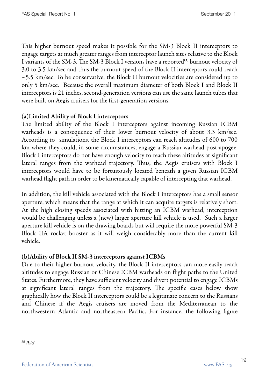This higher burnout speed makes it possible for the SM-3 Block II interceptors to engage targets at much greater ranges from interceptor launch sites relative to the Block I variants of the SM-3. The SM-3 Block I versions have a reported<sup>35</sup> burnout velocity of 3.0 to 3.5 km/sec and thus the burnout speed of the Block II interceptors could reach  $\sim$  5.5 km/sec. To be conservative, the Block II burnout velocities are considered up to only 5 km/sec. Because the overall maximum diameter of both Block I and Block II interceptors is 21 inches, second-generation versions can use the same launch tubes that were built on Aegis cruisers for the first-generation versions.

#### (a)Limited Ability of Block I interceptors

The limited ability of the Block I interceptors against incoming Russian ICBM warheads is a consequence of their lower burnout velocity of about 3.3 km/sec. According to simulations, the Block I interceptors can reach altitudes of 600 to 700 km where they could, in some circumstances, engage a Russian warhead post-apogee. Block I interceptors do not have enough velocity to reach these altitudes at significant lateral ranges from the warhead trajectory. Thus, the Aegis cruisers with Block I interceptors would have to be fortuitously located beneath a given Russian ICBM warhead flight path in order to be kinematically capable of intercepting that warhead.

In addition, the kill vehicle associated with the Block I interceptors has a small sensor aperture, which means that the range at which it can acquire targets is relatively short. At the high closing speeds associated with hitting an ICBM warhead, interception would be challenging unless a (new) larger aperture kill vehicle is used. Such a larger aperture kill vehicle is on the drawing boards but will require the more powerful SM-3 Block IIA rocket booster as it will weigh considerably more than the current kill vehicle.

#### (b)Ability of Block II SM-3 interceptors against ICBMs

Due to their higher burnout velocity, the Block II interceptors can more easily reach altitudes to engage Russian or Chinese ICBM warheads on flight paths to the United States. Furthermore, they have sufficient velocity and divert potential to engage ICBMs at significant lateral ranges from the trajectory. The specific cases below show graphically how the Block II interceptors could be a legitimate concern to the Russians and Chinese if the Aegis cruisers are moved from the Mediterranean to the northwestern Atlantic and northeastern Pacific. For instance, the following figure

<span id="page-26-0"></span><sup>35</sup> *Ibid*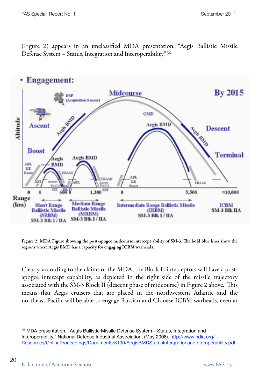(Figure 2) appears in an unclassified MDA presentation, "Aegis Ballistic Missile Defense System – Status, Integration and Interoperability."[36](#page-27-0)



Figure 2: MDA Figure showing the post-apogee midcourse intercept ability of SM-3. The bold blue lines show the regions where Aegis BMD has a capacity for engaging ICBM warheads.

Clearly, according to the claims of the MDA, the Block II interceptors will have a postapogee intercept capability, as depicted in the right side of the missile trajectory associated with the SM-3 Block II (descent phase of midcourse) in Figure 2 above. This means that Aegis cruisers that are placed in the northwestern Atlantic and the northeast Pacific will be able to engage Russian and Chinese ICBM warheads, even at

<span id="page-27-0"></span><sup>36</sup> MDA presentation, "Aegis Ballistic Missile Defense System – Status, Integration and Interoperability," National Defense Industrial Association, (May 2008). [http://www.ndia.org/](http://www.ndia.org/Resources/OnlineProceedings/Documents/8100/AegisBMD-StatusIntergrationandInteroperability.pdf) [Resources/OnlineProceedings/Documents/8100/AegisBMDStatusIntergrationandInteroperability.pdf](http://www.ndia.org/Resources/OnlineProceedings/Documents/8100/AegisBMD-StatusIntergrationandInteroperability.pdf)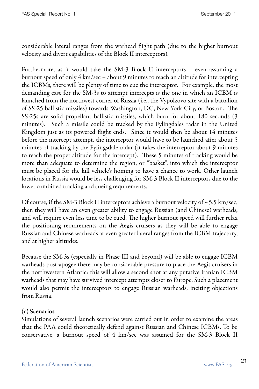considerable lateral ranges from the warhead flight path (due to the higher burnout velocity and divert capabilities of the Block II interceptors).

Furthermore, as it would take the SM-3 Block II interceptors – even assuming a burnout speed of only 4 km/sec – about 9 minutes to reach an altitude for intercepting the ICBMs, there will be plenty of time to cue the interceptor. For example, the most demanding case for the SM-3s to attempt intercepts is the one in which an ICBM is launched from the northwest corner of Russia (i.e., the Vypolzovo site with a battalion of SS-25 ballistic missiles) towards Washington, DC, New York City, or Boston. The SS-25s are solid propellant ballistic missiles, which burn for about 180 seconds (3 minutes). Such a missile could be tracked by the Fylingdales radar in the United Kingdom just as its powered flight ends. Since it would then be about 14 minutes before the intercept attempt, the interceptor would have to be launched after about 5 minutes of tracking by the Fylingsdale radar (it takes the interceptor about 9 minutes to reach the proper altitude for the intercept). These 5 minutes of tracking would be more than adequate to determine the region, or "basket", into which the interceptor must be placed for the kill vehicle's homing to have a chance to work. Other launch locations in Russia would be less challenging for SM-3 Block II interceptors due to the lower combined tracking and cueing requirements.

Of course, if the SM-3 Block II interceptors achieve a burnout velocity of  $\sim$  5.5 km/sec, then they will have an even greater ability to engage Russian (and Chinese) warheads, and will require even less time to be cued. The higher burnout speed will further relax the positioning requirements on the Aegis cruisers as they will be able to engage Russian and Chinese warheads at even greater lateral ranges from the ICBM trajectory, and at higher altitudes.

Because the SM-3s (especially in Phase III and beyond) will be able to engage ICBM warheads post-apogee there may be considerable pressure to place the Aegis cruisers in the northwestern Atlantic: this will allow a second shot at any putative Iranian ICBM warheads that may have survived intercept attempts closer to Europe. Such a placement would also permit the interceptors to engage Russian warheads, inciting objections from Russia.

#### (c) Scenarios

Simulations of several launch scenarios were carried out in order to examine the areas that the PAA could theoretically defend against Russian and Chinese ICBMs. To be conservative, a burnout speed of 4 km/sec was assumed for the SM-3 Block II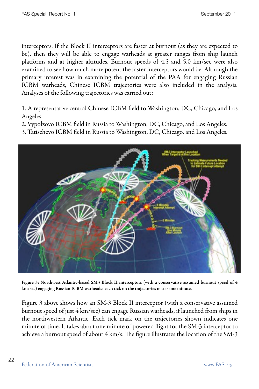interceptors. If the Block II interceptors are faster at burnout (as they are expected to be), then they will be able to engage warheads at greater ranges from ship launch platforms and at higher altitudes. Burnout speeds of 4.5 and 5.0 km/sec were also examined to see how much more potent the faster interceptors would be. Although the primary interest was in examining the potential of the PAA for engaging Russian ICBM warheads, Chinese ICBM trajectories were also included in the analysis. Analyses of the following trajectories was carried out:

1. A representative central Chinese ICBM field to Washington, DC, Chicago, and Los Angeles.

2. Vypolzovo ICBM field in Russia to Washington, DC, Chicago, and Los Angeles.

3. Tatischevo ICBM field in Russia to Washington, DC, Chicago, and Los Angeles.



Figure 3: Northwest Atlantic-based SM3 Block II interceptors (with a conservative assumed burnout speed of 4 km/sec) engaging Russian ICBM warheads: each tick on the trajectories marks one minute.

Figure 3 above shows how an SM-3 Block II interceptor (with a conservative assumed burnout speed of just 4 km/sec) can engage Russian warheads, if launched from ships in the northwestern Atlantic. Each tick mark on the trajectories shown indicates one minute of time. It takes about one minute of powered flight for the SM-3 interceptor to achieve a burnout speed of about  $4 \text{ km/s}$ . The figure illustrates the location of the SM-3

22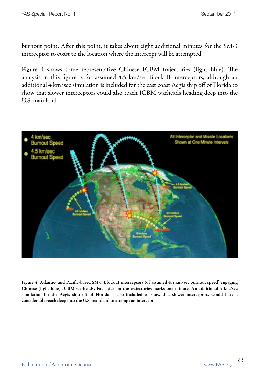burnout point. After this point, it takes about eight additional minutes for the SM-3 interceptor to coast to the location where the intercept will be attempted.

Figure 4 shows some representative Chinese ICBM trajectories (light blue). The analysis in this figure is for assumed 4.5 km/sec Block II interceptors, although an additional 4 km/sec simulation is included for the east coast Aegis ship off of Florida to show that slower interceptors could also reach ICBM warheads heading deep into the U.S. mainland.



Figure 4: Atlantic- and Pacific-based SM-3 Block II interceptors (of assumed 4.5 km/sec burnout speed) engaging Chinese (light blue) ICBM warheads. Each tick on the trajectories marks one minute. An additional 4 km/sec simulation for the Aegis ship off of Florida is also included to show that slower interceptors would have a considerable reach deep into the U.S. mainland to attempt an intercept.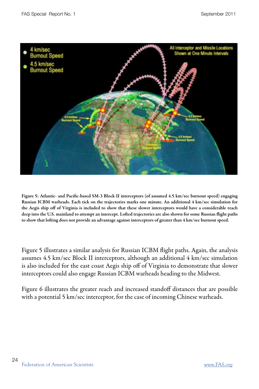

Figure 5: Atlantic- and Pacific-based SM-3 Block II interceptors (of assumed 4.5 km/sec burnout speed) engaging Russian ICBM warheads. Each tick on the trajectories marks one minute. An additional 4 km/sec simulation for the Aegis ship off of Virginia is included to show that these slower interceptors would have a considerable reach deep into the U.S. mainland to attempt an intercept. Lofted trajectories are also shown for some Russian flight paths to show that lofting does not provide an advantage against interceptors of greater than 4 km/sec burnout speed.

Figure 5 illustrates a similar analysis for Russian ICBM flight paths. Again, the analysis assumes 4.5 km/sec Block II interceptors, although an additional 4 km/sec simulation is also included for the east coast Aegis ship off of Virginia to demonstrate that slower interceptors could also engage Russian ICBM warheads heading to the Midwest.

Figure 6 illustrates the greater reach and increased standoff distances that are possible with a potential 5 km/sec interceptor, for the case of incoming Chinese warheads.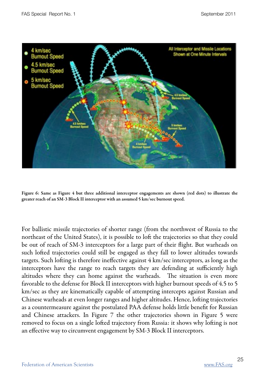

Figure 6: Same as Figure 4 but three additional interceptor engagements are shown (red dots) to illustrate the greater reach of an SM-3 Block II interceptor with an assumed 5 km/sec burnout speed.

For ballistic missile trajectories of shorter range (from the northwest of Russia to the northeast of the United States), it is possible to loft the trajectories so that they could be out of reach of SM-3 interceptors for a large part of their flight. But warheads on such lofted trajectories could still be engaged as they fall to lower altitudes towards targets. Such lofting is therefore ineffective against 4 km/sec interceptors, as long as the interceptors have the range to reach targets they are defending at sufficiently high altitudes where they can home against the warheads. The situation is even more favorable to the defense for Block II interceptors with higher burnout speeds of 4.5 to 5 km/sec as they are kinematically capable of attempting intercepts against Russian and Chinese warheads at even longer ranges and higher altitudes. Hence, lofting trajectories as a countermeasure against the postulated PAA defense holds little benefit for Russian and Chinese attackers. In Figure 7 the other trajectories shown in Figure 5 were removed to focus on a single lofted trajectory from Russia: it shows why lofting is not an effective way to circumvent engagement by SM-3 Block II interceptors.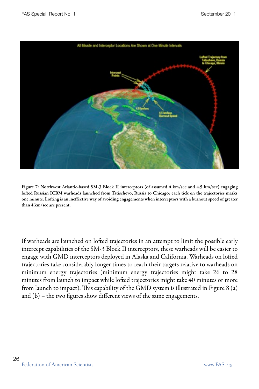

Figure 7: Northwest Atlantic-based SM-3 Block II interceptors (of assumed 4 km/sec and 4.5 km/sec) engaging lofted Russian ICBM warheads launched from Tatischevo, Russia to Chicago: each tick on the trajectories marks one minute. Lofting is an ineffective way of avoiding engagements when interceptors with a burnout speed of greater than 4 km/sec are present.

If warheads are launched on lofted trajectories in an attempt to limit the possible early intercept capabilities of the SM-3 Block II interceptors, these warheads will be easier to engage with GMD interceptors deployed in Alaska and California. Warheads on lofted trajectories take considerably longer times to reach their targets relative to warheads on minimum energy trajectories (minimum energy trajectories might take 26 to 28 minutes from launch to impact while lofted trajectories might take 40 minutes or more from launch to impact). This capability of the GMD system is illustrated in Figure 8 (a) and (b) – the two figures show different views of the same engagements.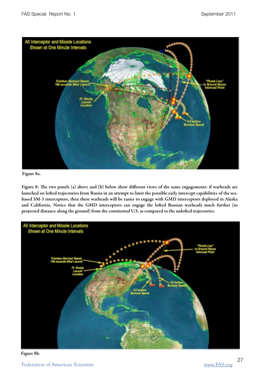

#### Figure 8a.

Figure 8: The two panels (a) above and (b) below show different views of the same engagements: if warheads are launched on lofted trajectories from Russia in an attempt to limit the possible early intercept capabilities of the seabased SM-3 interceptors, then these warheads will be easier to engage with GMD interceptors deployed in Alaska and California. Notice that the GMD interceptors can engage the lofted Russian warheads much further (in projected distance along the ground) from the continental U.S. as compared to the unlofted trajectories.



#### Figure 8b.

Federation of American Scientists [www.FAS.org](http://www.FAS.org)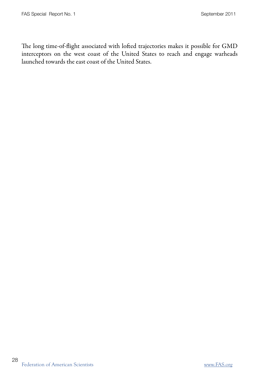The long time-of-flight associated with lofted trajectories makes it possible for GMD interceptors on the west coast of the United States to reach and engage warheads launched towards the east coast of the United States.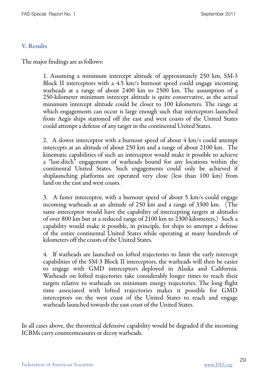#### V. Results

The major findings are as follows:

 1. Assuming a minimum intercept altitude of approximately 250 km, SM-3 Block II interceptors with a 4.5 km/s burnout speed could engage incoming warheads at a range of about 2400 km to 2500 km. The assumption of a 250-kilometer minimum intercept altitude is quite conservative, as the actual minimum intercept altitude could be closer to 100 kilometers. The range at which engagements can occur is large enough such that interceptors launched from Aegis ships stationed off the east and west coasts of the United States could attempt a defense of any target in the continental United States.

 2. A slower interceptor with a burnout speed of about 4 km/s could attempt intercepts at an altitude of about 250 km and a range of about 2100 km. The kinematic capabilities of such an interceptor would make it possible to achieve a "last-ditch" engagement of warheads bound for any locations within the continental United States. Such engagements could only be achieved if shiplaunching platforms are operated very close (less than 100 km) from land on the east and west coasts.

 3. A faster interceptor, with a burnout speed of about 5 km/s could engage incoming warheads at an altitude of 250 km and a range of 3300 km. (The same interceptor would have the capability of intercepting targets at altitudes of over 800 km but at a reduced range of 2100 km to 2300 kilometers.) Such a capability would make it possible, in principle, for ships to attempt a defense of the entire continental United States while operating at many hundreds of kilometers off the coasts of the United States.

 4. If warheads are launched on lofted trajectories to limit the early intercept capabilities of the SM-3 Block II interceptors, the warheads will then be easier to engage with GMD interceptors deployed in Alaska and California. Warheads on lofted trajectories take considerably longer times to reach their targets relative to warheads on minimum energy trajectories. The long flight time associated with lofted trajectories makes it possible for GMD interceptors on the west coast of the United States to reach and engage warheads launched towards the east coast of the United States.

In all cases above, the theoretical defensive capability would be degraded if the incoming ICBMs carry countermeasures or decoy warheads.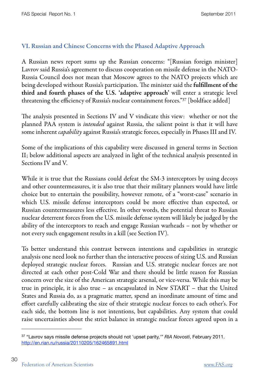#### VI. Russian and Chinese Concerns with the Phased Adaptive Approach

A Russian news report sums up the Russian concerns: "[Russian foreign minister] Lavrov said Russia's agreement to discuss cooperation on missile defense in the NATO-Russia Council does not mean that Moscow agrees to the NATO projects which are being developed without Russia's participation. The minister said the fulfillment of the third and fourth phases of the U.S. 'adaptive approach' will enter a strategic level threatening the efficiency of Russia's nuclear containment forces.["37](#page-37-0) [boldface added]

The analysis presented in Sections IV and V vindicate this view: whether or not the planned PAA system is intended against Russia, the salient point is that it will have some inherent *capability* against Russia's strategic forces, especially in Phases III and IV.

Some of the implications of this capability were discussed in general terms in Section II; below additional aspects are analyzed in light of the technical analysis presented in Sections IV and V.

While it is true that the Russians could defeat the SM-3 interceptors by using decoys and other countermeasures, it is also true that their military planners would have little choice but to entertain the possibility, however remote, of a "worst-case" scenario in which U.S. missile defense interceptors could be more effective than expected, or Russian countermeasures less effective. In other words, the potential threat to Russian nuclear deterrent forces from the U.S. missile defense system will likely be judged by the ability of the interceptors to reach and engage Russian warheads – not by whether or not every such engagement results in a kill (see Section IV).

To better understand this contrast between intentions and capabilities in strategic analysis one need look no further than the interactive process of sizing U.S. and Russian deployed strategic nuclear forces. Russian and U.S. strategic nuclear forces are not directed at each other post-Cold War and there should be little reason for Russian concern over the size of the American strategic arsenal, or vice-versa. While this may be true in principle, it is also true – as encapsulated in New START – that the United States and Russia do, as a pragmatic matter, spend an inordinate amount of time and effort carefully calibrating the size of their strategic nuclear forces to each other's. For each side, the bottom line is not intentions, but capabilities. Any system that could raise uncertainties about the strict balance in strategic nuclear forces agreed upon in a

<span id="page-37-0"></span><sup>37 &</sup>quot;Lavrov says missile defense projects should not 'upset parity,'" *RIA Novosti*, February 2011. <http://en.rian.ru/russia/20110205/162465891.html>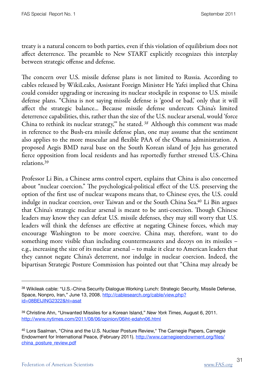treaty is a natural concern to both parties, even if this violation of equilibrium does not affect deterrence. The preamble to New START explicitly recognizes this interplay between strategic offense and defense.

The concern over U.S. missile defense plans is not limited to Russia. According to cables released by WikiLeaks, Assistant Foreign Minister He Yafei implied that China could consider upgrading or increasing its nuclear stockpile in response to U.S. missile defense plans. "China is not saying missile defense is 'good or bad,' only that it will affect the strategic balance... Because missile defense undercuts China's limited deterrence capabilities, this, rather than the size of the U.S. nuclear arsenal, would 'force China to rethink its nuclear strategy,'" he stated. [38](#page-38-0) Although this comment was made in reference to the Bush-era missile defense plan, one may assume that the sentiment also applies to the more muscular and flexible PAA of the Obama administration. A proposed Aegis BMD naval base on the South Korean island of Jeju has generated fierce opposition from local residents and has reportedly further stressed U.S.-China relations.[39](#page-38-1)

Professor Li Bin, a Chinese arms control expert, explains that China is also concerned about "nuclear coercion." The psychological-political effect of the U.S. preserving the option of the first use of nuclear weapons means that, to Chinese eyes, the U.S. could indulge in nuclear coercion, over Taiwan and or the South China Sea[.40](#page-38-2) Li Bin argues that China's strategic nuclear arsenal is meant to be anti-coercion. Though Chinese leaders may know they can defeat U.S. missile defenses, they may still worry that U.S. leaders will think the defenses are effective at negating Chinese forces, which may encourage Washington to be more coercive. China may, therefore, want to do something more visible than including countermeasures and decoys on its missiles – e.g., increasing the size of its nuclear arsenal – to make it clear to American leaders that they cannot negate China's deterrent, nor indulge in nuclear coercion. Indeed, the bipartisan Strategic Posture Commission has pointed out that "China may already be

<span id="page-38-0"></span><sup>&</sup>lt;sup>38</sup> Wikileak cable: "U.S.-China Security Dialoque Working Lunch: Strategic Security, Missile Defense, Space, Nonpro, Iran," June 13, 2008. [http://cablesearch.org/cable/view.php?](http://cablesearch.org/cable/view.php?id=08BEIJING2322&hl=asat) [id=08BEIJING2322&hl=asat](http://cablesearch.org/cable/view.php?id=08BEIJING2322&hl=asat)

<span id="page-38-1"></span><sup>39</sup> Christine Ahn, "Unwanted Missiles for a Korean Island," *New York Times*, August 6, 2011. [http://www.nytimes.com/2011/08/06/opinion/06iht-edahn06.html](http://www.nytimes.com/2011/08/06/opinion/06iht-edahn06.html?pagewanted=print) 

<span id="page-38-2"></span><sup>40</sup> Lora Saalman, "China and the U.S. Nuclear Posture Review," The Carnegie Papers, Carnegie Endowment for International Peace, (February 2011). [http://www.carnegieendowment.org/files/](http://www.carnegieendowment.org/files/china_posture_review.pdf) [china\\_posture\\_review.pdf](http://www.carnegieendowment.org/files/china_posture_review.pdf)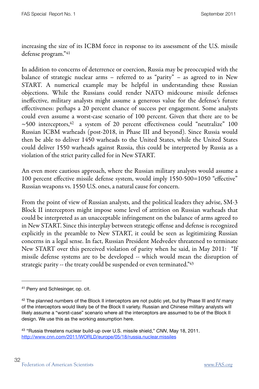increasing the size of its ICBM force in response to its assessment of the U.S. missile defense program.["41](#page-39-0)

In addition to concerns of deterrence or coercion, Russia may be preoccupied with the balance of strategic nuclear arms – referred to as "parity" – as agreed to in New START. A numerical example may be helpful in understanding these Russian objections. While the Russians could render NATO midcourse missile defenses ineffective, military analysts might assume a generous value for the defense's future effectiveness: perhaps a 20 percent chance of success per engagement. Some analysts could even assume a worst-case scenario of 100 percent. Given that there are to be  $\sim$ 500 interceptors,<sup>42</sup> a system of 20 percent effectiveness could "neutralize" 100 Russian ICBM warheads (post-2018, in Phase III and beyond). Since Russia would then be able to deliver 1450 warheads to the United States, while the United States could deliver 1550 warheads against Russia, this could be interpreted by Russia as a violation of the strict parity called for in New START.

An even more cautious approach, where the Russian military analysts would assume a 100 percent effective missile defense system, would imply 1550-500=1050 "effective" Russian weapons vs. 1550 U.S. ones, a natural cause for concern.

From the point of view of Russian analysts, and the political leaders they advise, SM-3 Block II interceptors might impose some level of attrition on Russian warheads that could be interpreted as an unacceptable infringement on the balance of arms agreed to in New START. Since this interplay between strategic offense and defense is recognized explicitly in the preamble to New START, it could be seen as legitimizing Russian concerns in a legal sense. In fact, Russian President Medvedev threatened to terminate New START over this perceived violation of parity when he said, in May 2011: "If missile defense systems are to be developed -- which would mean the disruption of strategic parity -- the treaty could be suspended or even terminated.["43](#page-39-2)

<span id="page-39-0"></span><sup>41</sup> Perry and Schlesinger, op. cit.

<span id="page-39-1"></span> $42$  The planned numbers of the Block II interceptors are not public yet, but by Phase III and IV many of the interceptors would likely be of the Block II variety. Russian and Chinese military analysts will likely assume a "worst-case" scenario where all the interceptors are assumed to be of the Block II design. We use this as the working assumption here.

<span id="page-39-2"></span><sup>43 &</sup>quot;Russia threatens nuclear build-up over U.S. missile shield," *CNN*, May 18, 2011. <http://www.cnn.com/2011/WORLD/europe/05/18/russia.nuclear.missiles>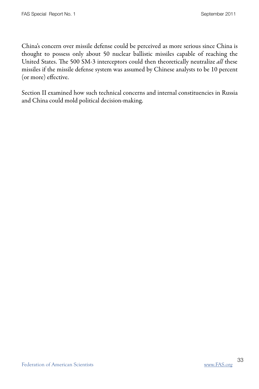China's concern over missile defense could be perceived as more serious since China is thought to possess only about 50 nuclear ballistic missiles capable of reaching the United States. The 500 SM-3 interceptors could then theoretically neutralize all these missiles if the missile defense system was assumed by Chinese analysts to be 10 percent (or more) effective.

Section II examined how such technical concerns and internal constituencies in Russia and China could mold political decision-making.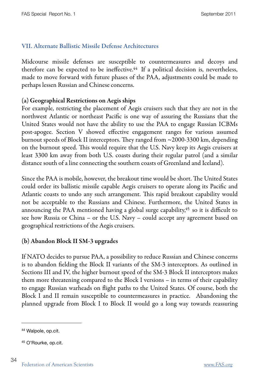#### VII. Alternate Ballistic Missile Defense Architectures

Midcourse missile defenses are susceptible to countermeasures and decoys and therefore can be expected to be ineffective.<sup>44</sup> If a political decision is, nevertheless, made to move forward with future phases of the PAA, adjustments could be made to perhaps lessen Russian and Chinese concerns.

#### (a) Geographical Restrictions on Aegis ships

For example, restricting the placement of Aegis cruisers such that they are not in the northwest Atlantic or northeast Pacific is one way of assuring the Russians that the United States would not have the ability to use the PAA to engage Russian ICBMs post-apogee. Section V showed effective engagement ranges for various assumed burnout speeds of Block II interceptors. They ranged from  $\sim$  2000-3300 km, depending on the burnout speed. This would require that the U.S. Navy keep its Aegis cruisers at least 3300 km away from both U.S. coasts during their regular patrol (and a similar distance south of a line connecting the southern coasts of Greenland and Iceland).

Since the PAA is mobile, however, the breakout time would be short. The United States could order its ballistic missile capable Aegis cruisers to operate along its Pacific and Atlantic coasts to undo any such arrangement. This rapid breakout capability would not be acceptable to the Russians and Chinese. Furthermore, the United States in announcing the PAA mentioned having a global surge capability, $45$  so it is difficult to see how Russia or China – or the U.S. Navy – could accept any agreement based on geographical restrictions of the Aegis cruisers.

#### (b) Abandon Block II SM-3 upgrades

If NATO decides to pursue PAA, a possibility to reduce Russian and Chinese concerns is to abandon fielding the Block II variants of the SM-3 interceptors. As outlined in Sections III and IV, the higher burnout speed of the SM-3 Block II interceptors makes them more threatening compared to the Block I versions – in terms of their capability to engage Russian warheads on flight paths to the United States. Of course, both the Block I and II remain susceptible to countermeasures in practice. Abandoning the planned upgrade from Block I to Block II would go a long way towards reassuring

34

<span id="page-41-0"></span><sup>44</sup> Walpole, op.cit.

<span id="page-41-1"></span><sup>45</sup> O'Rourke, op.cit.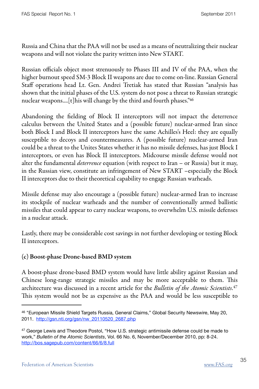Russia and China that the PAA will not be used as a means of neutralizing their nuclear weapons and will not violate the parity written into New START.

Russian officials object most strenuously to Phases III and IV of the PAA, when the higher burnout speed SM-3 Block II weapons are due to come on-line. Russian General Staff operations head Lt. Gen. Andrei Tretiak has stated that Russian "analysis has shown that the initial phases of the U.S. system do not pose a threat to Russian strategic nuclear weapons.... $[t]$ his will change by the third and fourth phases.<sup>["46](#page-42-0)</sup>

Abandoning the fielding of Block II interceptors will not impact the deterrence calculus between the United States and a (possible future) nuclear-armed Iran since both Block I and Block II interceptors have the same Achilles's Heel: they are equally susceptible to decoys and countermeasures. A (possible future) nuclear-armed Iran could be a threat to the Unites States whether it has no missile defenses, has just Block I interceptors, or even has Block II interceptors. Midcourse missile defense would not alter the fundamental *deterrence* equation (with respect to Iran – or Russia) but it may, in the Russian view, constitute an infringement of New START –especially the Block II interceptors due to their theoretical capability to engage Russian warheads.

Missile defense may also encourage a (possible future) nuclear-armed Iran to increase its stockpile of nuclear warheads and the number of conventionally armed ballistic missiles that could appear to carry nuclear weapons, to overwhelm U.S. missile defenses in a nuclear attack.

Lastly, there may be considerable cost savings in not further developing or testing Block II interceptors.

#### (c) Boost-phase Drone-based BMD system

A boost-phase drone-based BMD system would have little ability against Russian and Chinese long-range strategic missiles and may be more acceptable to them. This architecture was discussed in a recent article for the *Bulletin of the Atomic Scientists*.<sup>[47](#page-42-1)</sup> This system would not be as expensive as the PAA and would be less susceptible to

<span id="page-42-0"></span><sup>46 &</sup>quot;European Missile Shield Targets Russia, General Claims," Global Security Newswire, May 20, 2011. [http://gsn.nti.org/gsn/nw\\_20110520\\_2687.php](http://gsn.nti.org/gsn/nw_20110520_2687.php) 

<span id="page-42-1"></span><sup>&</sup>lt;sup>47</sup> George Lewis and Theodore Postol, "How U.S. strategic antimissile defense could be made to work," *Bulletin of the Atomic Scientists*, Vol. 66 No. 6, November/December 2010, pp: 8-24. <http://bos.sagepub.com/content/66/6/8.full>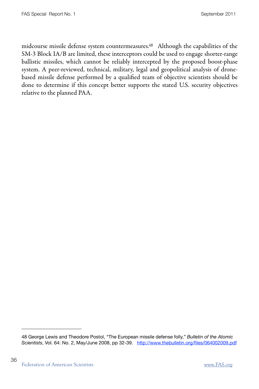midcourse missile defense system countermeasures.<sup>48</sup> Although the capabilities of the SM-3 Block IA/B are limited, these interceptors could be used to engage shorter-range ballistic missiles, which cannot be reliably intercepted by the proposed boost-phase system. A peer-reviewed, technical, military, legal and geopolitical analysis of dronebased missile defense performed by a qualified team of objective scientists should be done to determine if this concept better supports the stated U.S. security objectives relative to the planned PAA.

36

<span id="page-43-0"></span><sup>48</sup> George Lewis and Theodore Postol, "The European missile defense folly," *Bulletin of the Atomic Scientists*, Vol. 64: No. 2, May/June 2008, pp 32-39. <http://www.thebulletin.org/files/064002009.pdf>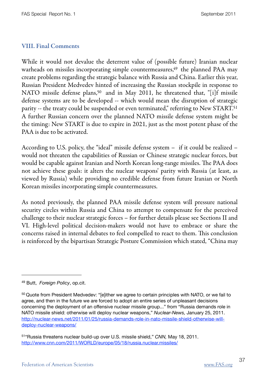#### VIII. Final Comments

While it would not devalue the deterrent value of (possible future) Iranian nuclear warheads on missiles incorporating simple countermeasures,<sup>49</sup> the planned PAA may create problems regarding the strategic balance with Russia and China. Earlier this year, Russian President Medvedev hinted of increasing the Russian stockpile in response to NATO missile defense plans,<sup>50</sup> and in May 2011, he threatened that, "[i]f missile defense systems are to be developed -- which would mean the disruption of strategic parity -- the treaty could be suspended or even terminated," referring to New START[.51](#page-44-2) A further Russian concern over the planned NATO missile defense system might be the timing: New START is due to expire in 2021, just as the most potent phase of the PAA is due to be activated.

According to U.S. policy, the "ideal" missile defense system – if it could be realized – would not threaten the capabilities of Russian or Chinese strategic nuclear forces, but would be capable against Iranian and North Korean long-range missiles. The PAA does not achieve these goals: it alters the nuclear weapons' parity with Russia (at least, as viewed by Russia) while providing no credible defense from future Iranian or North Korean missiles incorporating simple countermeasures.

As noted previously, the planned PAA missile defense system will pressure national security circles within Russia and China to attempt to compensate for the perceived challenge to their nuclear strategic forces – for further details please see Sections II and VI. High-level political decision-makers would not have to embrace or share the concerns raised in internal debates to feel compelled to react to them. This conclusion is reinforced by the bipartisan Strategic Posture Commission which stated, "China may

<span id="page-44-0"></span><sup>49</sup> Butt, *Foreign Policy*, op.cit.

<span id="page-44-1"></span><sup>&</sup>lt;sup>50</sup> Quote from President Medvedev: "[e]ither we agree to certain principles with NATO, or we fail to agree, and then in the future we are forced to adopt an entire series of unpleasant decisions concerning the deployment of an offensive nuclear missile group..." from "Russia demands role in NATO missile shield: otherwise will deploy nuclear weapons," *Nuclear-News,* January 25, 2011. [http://nuclear-news.net/2011/01/25/russia-demands-role-in-nato-missile-shield-otherwise-will](http://nuclear-news.net/2011/01/25/russia-demands-role-in-nato-missile-shield-otherwise-will-deploy-nuclear-weapons/)[deploy-nuclear-weapons/](http://nuclear-news.net/2011/01/25/russia-demands-role-in-nato-missile-shield-otherwise-will-deploy-nuclear-weapons/)

<span id="page-44-2"></span><sup>51&</sup>quot;Russia threatens nuclear build-up over U.S. missile shield," *CNN,* May 18, 2011. <http://www.cnn.com/2011/WORLD/europe/05/18/russia.nuclear.missiles/>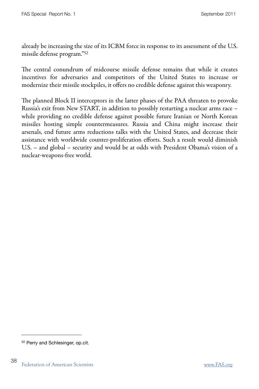already be increasing the size of its ICBM force in response to its assessment of the U.S. missile defense program.["52](#page-45-0)

The central conundrum of midcourse missile defense remains that while it creates incentives for adversaries and competitors of the United States to increase or modernize their missile stockpiles, it offers no credible defense against this weaponry.

The planned Block II interceptors in the latter phases of the PAA threaten to provoke Russia's exit from New START, in addition to possibly restarting a nuclear arms race – while providing no credible defense against possible future Iranian or North Korean missiles hosting simple countermeasures. Russia and China might increase their arsenals, end future arms reductions talks with the United States, and decrease their assistance with worldwide counter-proliferation efforts. Such a result would diminish U.S. – and global – security and would be at odds with President Obama's vision of a nuclear-weapons-free world.

<span id="page-45-0"></span><sup>52</sup> Perry and Schlesinger, op.cit.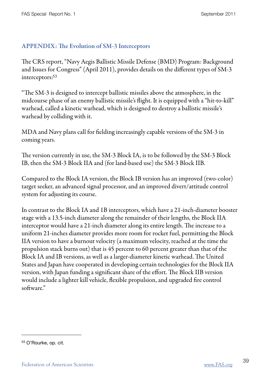#### APPENDIX: The Evolution of SM-3 Interceptors

e CRS report, "Navy Aegis Ballistic Missile Defense (BMD) Program: Background and Issues for Congress" (April 2011), provides details on the different types of SM-3 interceptors[:53](#page-46-0)

"The SM-3 is designed to intercept ballistic missiles above the atmosphere, in the midcourse phase of an enemy ballistic missile's flight. It is equipped with a "hit-to-kill" warhead, called a kinetic warhead, which is designed to destroy a ballistic missile's warhead by colliding with it.

MDA and Navy plans call for fielding increasingly capable versions of the SM-3 in coming years.

The version currently in use, the SM-3 Block IA, is to be followed by the SM-3 Block IB, then the SM-3 Block IIA and (for land-based use) the SM-3 Block IIB.

Compared to the Block IA version, the Block IB version has an improved (two-color) target seeker, an advanced signal processor, and an improved divert/attitude control system for adjusting its course.

In contrast to the Block IA and 1B interceptors, which have a 21-inch-diameter booster stage with a 13.5-inch diameter along the remainder of their lengths, the Block IIA interceptor would have a 21-inch diameter along its entire length. The increase to a uniform 21-inches diameter provides more room for rocket fuel, permitting the Block IIA version to have a burnout velocity (a maximum velocity, reached at the time the propulsion stack burns out) that is 45 percent to 60 percent greater than that of the Block IA and IB versions, as well as a larger-diameter kinetic warhead. The United States and Japan have cooperated in developing certain technologies for the Block IIA version, with Japan funding a significant share of the effort. The Block IIB version would include a lighter kill vehicle, flexible propulsion, and upgraded fire control software."

<span id="page-46-0"></span><sup>53</sup> O'Rourke, op. cit.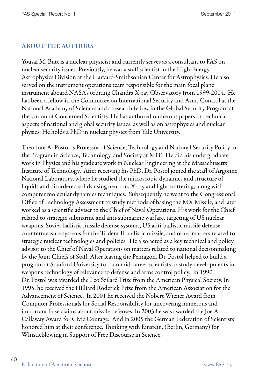#### ABOUT THE AUTHORS

Yousaf M. Butt is a nuclear physicist and currently serves as a consultant to FAS on nuclear security issues. Previously, he was a staff scientist in the High-Energy Astrophysics Division at the Harvard-Smithsonian Center for Astrophysics. He also served on the instrument operations team responsible for the main focal plane instrument aboard NASA's orbiting Chandra X-ray Observatory from 1999-2004. He has been a fellow in the Committee on International Security and Arms Control at the National Academy of Sciences and a research fellow in the Global Security Program at the Union of Concerned Scientists. He has authored numerous papers on technical aspects of national and global security issues, as well as on astrophysics and nuclear physics. He holds a PhD in nuclear physics from Yale University.

Theodore A. Postol is Professor of Science, Technology and National Security Policy in the Program in Science, Technology, and Society at MIT. He did his undergraduate work in Physics and his graduate work in Nuclear Engineering at the Massachusetts Institute of Technology. After receiving his PhD, Dr. Postol joined the staff of Argonne National Laboratory, where he studied the microscopic dynamics and structure of liquids and disordered solids using neutron, X-ray and light scattering, along with computer molecular dynamics techniques. Subsequently he went to the Congressional Office of Technology Assessment to study methods of basing the MX Missile, and later worked as a scientific adviser to the Chief of Naval Operations. His work for the Chief related to strategic submarine and anti-submarine warfare, targeting of US nuclear weapons, Soviet ballistic missile defense systems, US anti-ballistic missile defense countermeasure systems for the Trident II ballistic missile, and other matters related to strategic nuclear technologies and policies. He also acted as a key technical and policy advisor to the Chief of Naval Operations on matters related to national decisonmaking by the Joint Chiefs of Staff. After leaving the Pentagon, Dr. Postol helped to build a program at Stanford University to train mid-career scientists to study developments in weapons technology of relevance to defense and arms control policy. In 1990 Dr. Postol was awarded the Leo Szilard Prize from the American Physical Society. In 1995, he received the Hilliard Roderick Prize from the American Association for the Advancement of Science. In 2001 he received the Nobert Wiener Award from Computer Professionals for Social Responsibility for uncovering numerous and important false claims about missile defenses. In 2003 he was awarded the Joe A. Callaway Award for Civic Courage. And in 2005 the German Federation of Scientists honored him at their conference, Thinking with Einstein, (Berlin, Germany) for Whistleblowing in Support of Free Discourse in Science.

40